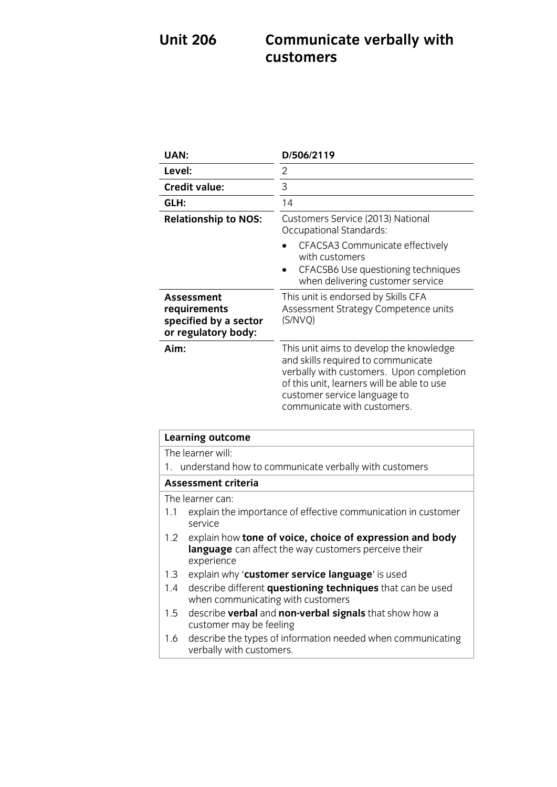# **Unitairmont verbally with**  $\frac{1}{2}$ **customers**

| UAN:                                                                              | D/506/2119                                                                                                                                                                                                                             |
|-----------------------------------------------------------------------------------|----------------------------------------------------------------------------------------------------------------------------------------------------------------------------------------------------------------------------------------|
| Level:                                                                            | 2                                                                                                                                                                                                                                      |
| <b>Credit value:</b>                                                              | 3                                                                                                                                                                                                                                      |
| GLH:                                                                              | 14                                                                                                                                                                                                                                     |
| <b>Relationship to NOS:</b>                                                       | Customers Service (2013) National<br>Occupational Standards:                                                                                                                                                                           |
|                                                                                   | CFACSA3 Communicate effectively<br>with customers<br>CFACSB6 Use questioning techniques<br>when delivering customer service                                                                                                            |
| <b>Assessment</b><br>requirements<br>specified by a sector<br>or regulatory body: | This unit is endorsed by Skills CFA<br>Assessment Strategy Competence units<br>(S/NVO)                                                                                                                                                 |
| Aim:                                                                              | This unit aims to develop the knowledge<br>and skills required to communicate<br>verbally with customers. Upon completion<br>of this unit, learners will be able to use<br>customer service language to<br>communicate with customers. |

| <b>Learning outcome</b>                                                                                                               |                                                                                                 |
|---------------------------------------------------------------------------------------------------------------------------------------|-------------------------------------------------------------------------------------------------|
| The learner will:                                                                                                                     |                                                                                                 |
| 1. understand how to communicate verbally with customers                                                                              |                                                                                                 |
| <b>Assessment criteria</b>                                                                                                            |                                                                                                 |
|                                                                                                                                       | The learner can:                                                                                |
| 1.1                                                                                                                                   | explain the importance of effective communication in customer<br>service                        |
| 1.2<br>explain how tone of voice, choice of expression and body<br>language can affect the way customers perceive their<br>experience |                                                                                                 |
| 1.3                                                                                                                                   | explain why 'customer service language' is used                                                 |
| 1.4                                                                                                                                   | describe different questioning techniques that can be used<br>when communicating with customers |
| 1.5                                                                                                                                   | describe verbal and non-verbal signals that show how a<br>customer may be feeling               |
| 1.6                                                                                                                                   | describe the types of information needed when communicating<br>verbally with customers.         |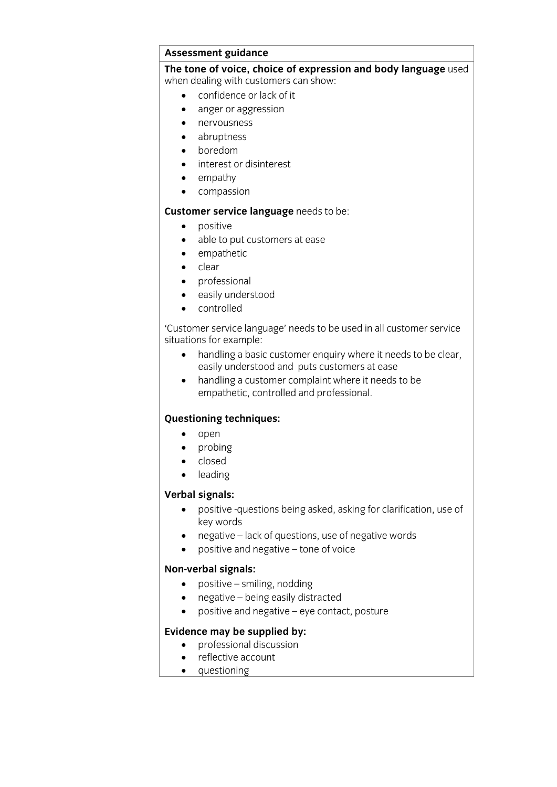### **Assessment guidance<br>The tone of voice, choice of expression and body language** used when dealing with customers can show:

 $\bullet$  confidence or lack of it

- anger or aggression
- nervousness
- abruptness<br>• horedom
- boredom<br>• interest.c
- interest or disinterest
- empathy
- compassion

### **Customer service language** needs to be:

- positive
- able to put customers at ease
- empathetic
- $\bullet$  clear
- professional
- easily understood
- controlled

'Customer service language' needs to be used in all customer service

- If the contract of the customer enquiry where it needs to be clear,<br>easily understood and puts customers at ease
	- handling a customer complaint where it needs to be<br>
	empathetic controlled and professional empathetic, controlled and professional.

# **Questioning techniques:**

- open<br>• probi
- probing
- closed
- leading

- **verbal signals:**<br> **•** positive -questions being asked, asking for clarification, use of key words
	- negative lack of questions, use of negative words<br>• negative and positive stope of veice
	- positive and negative tone of voice

- positive smiling, nodding
	- negative being easily distracted<br>• nositive and negative eve contaction
	- positive and negative eye contact, posture

- **professional discussion** 
	- reflective account
	- auestioning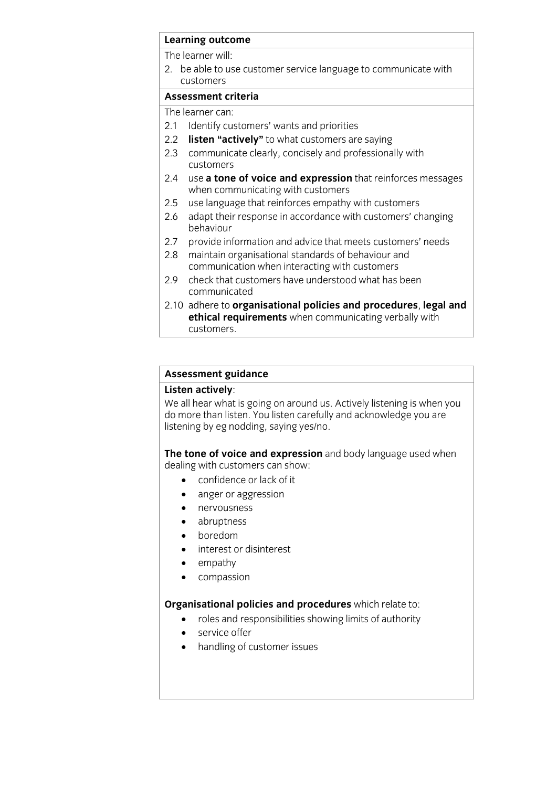# **Learning outcome**<br>The learner will:

2. be able to use customer service language to communicate with customers

### Assessment criteria

The learner can:

- 2.1 Identify customers' wants and priorities
- 2.2 **listen "actively"** to what customers are saying
- 2.3 communicate clearly, concisely and professionally with customers
- 2.4 use a tone of voice and expression that reinforces messages when communicating with customers
- 2.5 use language that reinforces empathy with customers
- 2.6 adapt their response in accordance with customers' changing behaviour
- provide information and advice that meets customers' needs 2.7 provide information and advice that meets custome<br>2.8 maintain organisational standards of behaviour and
- communication when interacting with customers
- check that customers have understood what has been 2.9 check that cust<br>communicated
- 2.10 adhere to organisational policies and procedures, legal and **ethical requirements** when communicating verbally with customers. <u>customers.</u>

# **Assessment guidance**

We all hear what is going on around us. Actively listening is when you do more than listen. You listen carefully and acknowledge you are listening by eg nodding, saying yes/no.  $\frac{1}{2}$ listening by equation is  $\frac{1}{2}$ 

**The tone of voice and expression** and body language used when dealing with customers can show:

- dealing with customers can show:<br>
 confidence or lack of it
	- anger or aggression
	- nervousness
	- abruptness
	-
	- boredom<br>• interest o  $\bullet$  interest or disinterest<br> $\bullet$  empathy
	- empathy
	- compassion

- **Cross and responsibilities showing limits of authority** 
	- service offer
	- handling of customer issues